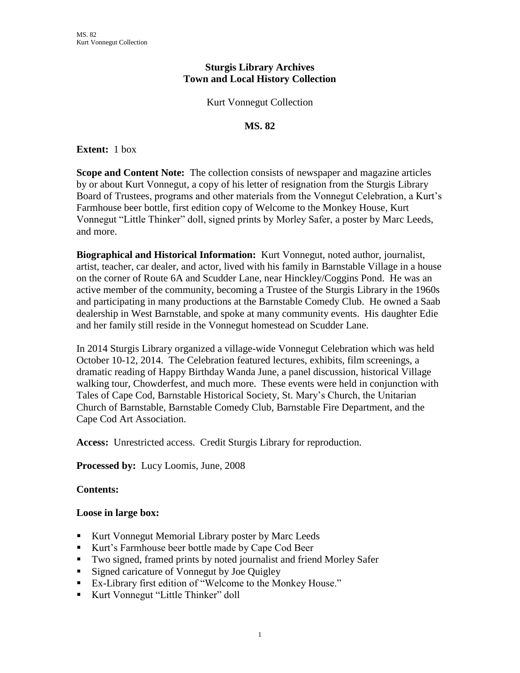# **Sturgis Library Archives Town and Local History Collection**

### Kurt Vonnegut Collection

#### **MS. 82**

**Extent:** 1 box

**Scope and Content Note:** The collection consists of newspaper and magazine articles by or about Kurt Vonnegut, a copy of his letter of resignation from the Sturgis Library Board of Trustees, programs and other materials from the Vonnegut Celebration, a Kurt's Farmhouse beer bottle, first edition copy of Welcome to the Monkey House, Kurt Vonnegut "Little Thinker" doll, signed prints by Morley Safer, a poster by Marc Leeds, and more.

**Biographical and Historical Information:** Kurt Vonnegut, noted author, journalist, artist, teacher, car dealer, and actor, lived with his family in Barnstable Village in a house on the corner of Route 6A and Scudder Lane, near Hinckley/Coggins Pond. He was an active member of the community, becoming a Trustee of the Sturgis Library in the 1960s and participating in many productions at the Barnstable Comedy Club. He owned a Saab dealership in West Barnstable, and spoke at many community events. His daughter Edie and her family still reside in the Vonnegut homestead on Scudder Lane.

In 2014 Sturgis Library organized a village-wide Vonnegut Celebration which was held October 10-12, 2014. The Celebration featured lectures, exhibits, film screenings, a dramatic reading of Happy Birthday Wanda June, a panel discussion, historical Village walking tour, Chowderfest, and much more. These events were held in conjunction with Tales of Cape Cod, Barnstable Historical Society, St. Mary's Church, the Unitarian Church of Barnstable, Barnstable Comedy Club, Barnstable Fire Department, and the Cape Cod Art Association.

**Access:** Unrestricted access. Credit Sturgis Library for reproduction.

**Processed by:** Lucy Loomis, June, 2008

## **Contents:**

#### **Loose in large box:**

- Kurt Vonnegut Memorial Library poster by Marc Leeds
- Kurt's Farmhouse beer bottle made by Cape Cod Beer
- Two signed, framed prints by noted journalist and friend Morley Safer
- Signed caricature of Vonnegut by Joe Quigley
- Ex-Library first edition of "Welcome to the Monkey House."
- Kurt Vonnegut "Little Thinker" doll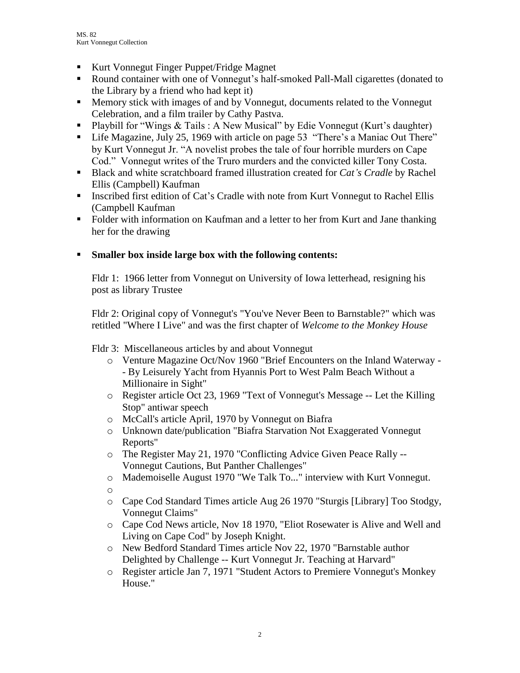- Kurt Vonnegut Finger Puppet/Fridge Magnet
- Round container with one of Vonnegut's half-smoked Pall-Mall cigarettes (donated to the Library by a friend who had kept it)
- Memory stick with images of and by Vonnegut, documents related to the Vonnegut Celebration, and a film trailer by Cathy Pastva.
- Playbill for "Wings & Tails : A New Musical" by Edie Vonnegut (Kurt's daughter)
- Life Magazine, July 25, 1969 with article on page 53 "There's a Maniac Out There" by Kurt Vonnegut Jr. "A novelist probes the tale of four horrible murders on Cape Cod." Vonnegut writes of the Truro murders and the convicted killer Tony Costa.
- **Black and white scratchboard framed illustration created for** *Cat's Cradle* **by Rachel** Ellis (Campbell) Kaufman
- **Inscribed first edition of Cat's Cradle with note from Kurt Vonnegut to Rachel Ellis** (Campbell Kaufman
- Folder with information on Kaufman and a letter to her from Kurt and Jane thanking her for the drawing

# **Smaller box inside large box with the following contents:**

Fldr 1: 1966 letter from Vonnegut on University of Iowa letterhead, resigning his post as library Trustee

Fldr 2: Original copy of Vonnegut's "You've Never Been to Barnstable?" which was retitled "Where I Live" and was the first chapter of *Welcome to the Monkey House*

Fldr 3: Miscellaneous articles by and about Vonnegut

- o Venture Magazine Oct/Nov 1960 "Brief Encounters on the Inland Waterway - By Leisurely Yacht from Hyannis Port to West Palm Beach Without a Millionaire in Sight"
- o Register article Oct 23, 1969 "Text of Vonnegut's Message -- Let the Killing Stop" antiwar speech
- o McCall's article April, 1970 by Vonnegut on Biafra
- o Unknown date/publication "Biafra Starvation Not Exaggerated Vonnegut Reports"
- o The Register May 21, 1970 "Conflicting Advice Given Peace Rally -- Vonnegut Cautions, But Panther Challenges"
- o Mademoiselle August 1970 "We Talk To..." interview with Kurt Vonnegut.
- o
- o Cape Cod Standard Times article Aug 26 1970 "Sturgis [Library] Too Stodgy, Vonnegut Claims"
- o Cape Cod News article, Nov 18 1970, "Eliot Rosewater is Alive and Well and Living on Cape Cod" by Joseph Knight.
- o New Bedford Standard Times article Nov 22, 1970 "Barnstable author Delighted by Challenge -- Kurt Vonnegut Jr. Teaching at Harvard"
- o Register article Jan 7, 1971 "Student Actors to Premiere Vonnegut's Monkey House."